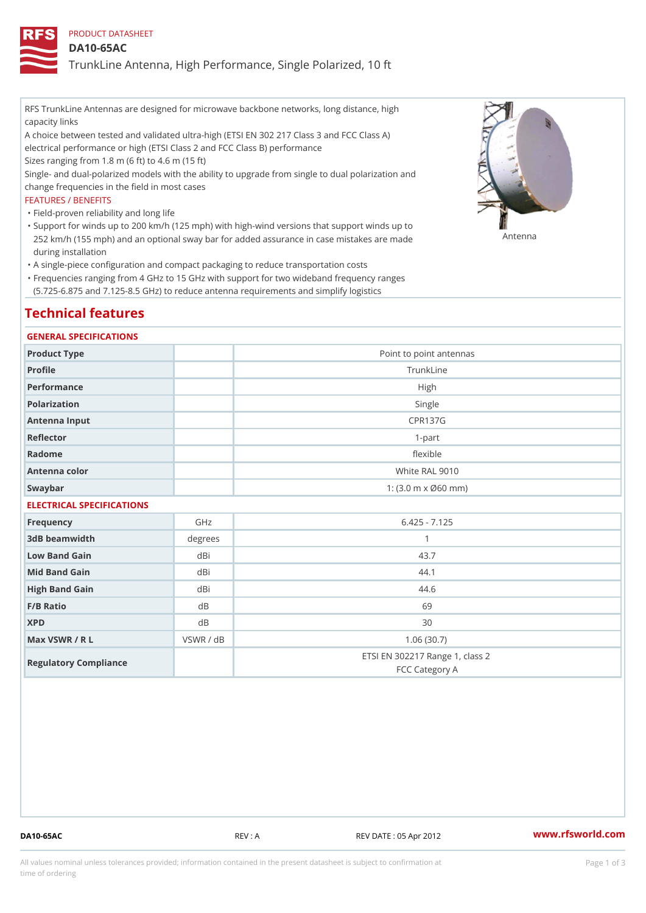PRODUCT DATASHEET

DA10-65AC

TrunkLine Antenna, High Performance, Single Polarized, 10 ft

RFS TrunkLine Antennas are designed for microwave backbone networks, long distance, high capacity links

A choice between tested and validated ultra-high (ETSI EN 302 217 Class 3 and FCC Class A) electrical performance or high (ETSI Class 2 and FCC Class B) performance

Sizes ranging from 1.8 m (6 ft) to 4.6 m (15 ft)

Single- and dual-polarized models with the ability to upgrade from single to dual polarization and change frequencies in the field in most cases

### FEATURES / BENEFITS

"Field-proven reliability and long life

- Support for winds up to 200 km/h (125 mph) with high-wind versions that support winds up to " 252 km/h (155 mph) and an optional sway bar for added assurance in case m 48 #8 R B & are made during installation
- "A single-piece configuration and compact packaging to reduce transportation costs
- Frequencies ranging from 4 GHz to 15 GHz with support for two wideband frequency ranges " (5.725-6.875 and 7.125-8.5 GHz) to reduce antenna requirements and simplify logistics

# Technical features

### GENERAL SPECIFICATIONS

| Product Type              | Point to point antennas                                 |  |  |  |
|---------------------------|---------------------------------------------------------|--|--|--|
| Profile                   | TrunkLine                                               |  |  |  |
| Performance               | High                                                    |  |  |  |
| Polarization              | Single                                                  |  |  |  |
| Antenna Input             | <b>CPR137G</b>                                          |  |  |  |
| Reflector                 | $1-part$                                                |  |  |  |
| Radome                    | flexible                                                |  |  |  |
| Antenna color             | White RAL 9010                                          |  |  |  |
| Swaybar                   | 1: $(3.0 \, \text{m} \times \emptyset 60 \, \text{mm})$ |  |  |  |
| ELECTRICAL SPECIFICATIONS |                                                         |  |  |  |

| Frequency             | GHz       | $6.425 - 7.125$                                   |
|-----------------------|-----------|---------------------------------------------------|
| 3dB beamwidth         | degrees   |                                                   |
| Low Band Gain         | dBi       | 43.7                                              |
| Mid Band Gain         | dBi       | 44.1                                              |
| High Band Gain        | dBi       | 44.6                                              |
| F/B Ratio             | d B       | 69                                                |
| <b>XPD</b>            | d B       | 30                                                |
| Max VSWR / R L        | VSWR / dB | 1.06(30.7)                                        |
| Regulatory Compliance |           | ETSI EN 302217 Range 1, class 2<br>FCC Category A |

DA10-65AC REV : A REV DATE : 05 Apr 2012 [www.](https://www.rfsworld.com)rfsworld.com

All values nominal unless tolerances provided; information contained in the present datasheet is subject to Pcapgeign mation time of ordering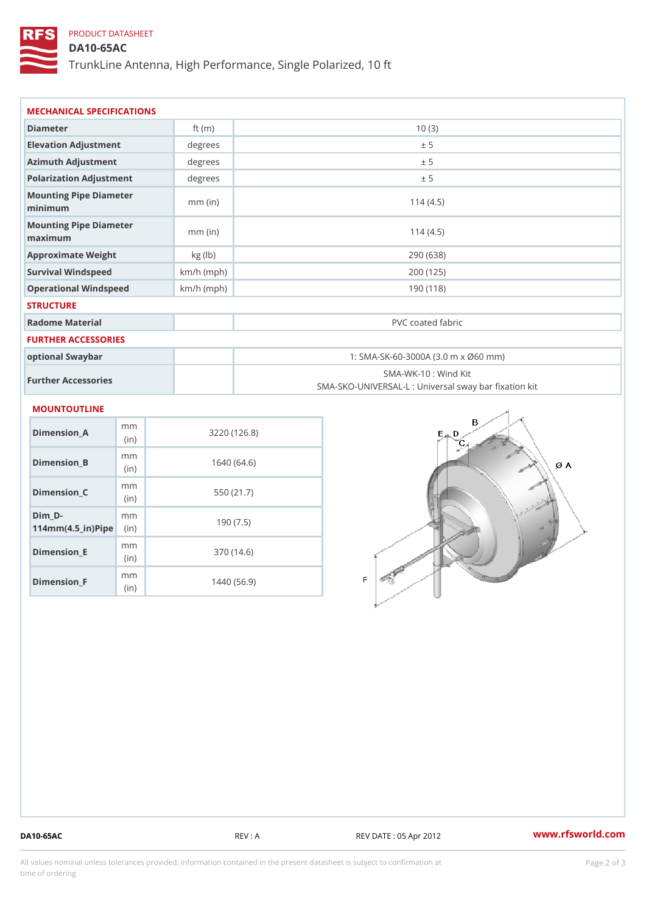## PRODUCT DATASHEET

DA10-65AC

TrunkLine Antenna, High Performance, Single Polarized, 10 ft

| MECHANICAL SPECIFICATIONS                                          |                        |              |                                                                          |  |
|--------------------------------------------------------------------|------------------------|--------------|--------------------------------------------------------------------------|--|
| Diameter                                                           |                        | ft $(m)$     | 10(3)                                                                    |  |
| Elevation Adjustment                                               |                        | degrees      | ± 5                                                                      |  |
| Azimuth Adjustment                                                 |                        | degrees      | ± 5                                                                      |  |
| Polarization Adjustment                                            |                        | degrees      | ± 5                                                                      |  |
| Mounting Pipe Diameter<br>minimaum                                 |                        | $mm$ (in)    | 114(4.5)                                                                 |  |
| Mounting Pipe Diameter<br>maximum                                  |                        | $mm$ (in)    | 114(4.5)                                                                 |  |
| Approximate Weight                                                 |                        | kg (lb)      | 290 (638)                                                                |  |
| Survival Windspeed                                                 |                        | $km/h$ (mph) | 200 (125)                                                                |  |
| Operational Windspeed                                              |                        | $km/h$ (mph) | 190 (118)                                                                |  |
| <b>STRUCTURE</b>                                                   |                        |              |                                                                          |  |
| Radome Material                                                    |                        |              | PVC coated fabric                                                        |  |
| FURTHER ACCESSORIES                                                |                        |              |                                                                          |  |
| optional Swaybar                                                   |                        |              | 1: SMA-SK-60-3000A (3.0 m x Ø60 mm)                                      |  |
| Further Accessories                                                |                        |              | SMA-WK-10: Wind Kit<br>SMA-SKO-UNIVERSAL-L : Universal sway bar fixation |  |
| MOUNTOUTLINE                                                       |                        |              |                                                                          |  |
| Dimension A                                                        | m <sub>m</sub><br>(in) |              | 3220(126.8)                                                              |  |
| $Dimension_B$                                                      | m m<br>(in)            |              | 1640(64.6)                                                               |  |
| $Dimension_C$                                                      | m m<br>(in)            |              | 550 (21.7)                                                               |  |
| $Dim_D - D -$<br>$114$ m m (4.5 _ ir ) $\sqrt{$ im $\cdot$ $\cdot$ | m <sub>m</sub>         |              | 190(7.5)                                                                 |  |
| <b>B</b> the control of the control                                | m m                    |              | 0.70(110)                                                                |  |

Dimension\_E

Dimension\_F

(in)

m<sub>m</sub> (in)

370 (14.6)

1440 (56.9)

DA10-65AC REV : A REV DATE : 05 Apr 2012 [www.](https://www.rfsworld.com)rfsworld.com

All values nominal unless tolerances provided; information contained in the present datasheet is subject to Pcapgelio an atio time of ordering